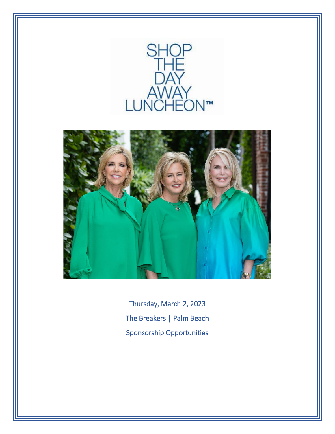



Thursday, March 2, 2023 The Breakers | Palm Beach Sponsorship Opportunities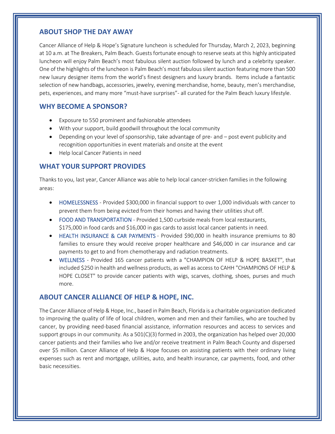#### **ABOUT SHOP THE DAY AWAY**

Cancer Alliance of Help & Hope's Signature luncheon is scheduled for Thursday, March 2, 2023, beginning at 10 a.m. at The Breakers, Palm Beach. Guests fortunate enough to reserve seats at this highly anticipated luncheon will enjoy Palm Beach's most fabulous silent auction followed by lunch and a celebrity speaker. One of the highlights of the luncheon is Palm Beach's most fabulous silent auction featuring more than 500 new luxury designer items from the world's finest designers and luxury brands. Items include a fantastic selection of new handbags, accessories, jewelry, evening merchandise, home, beauty, men's merchandise, pets, experiences, and many more "must-have surprises"- all curated for the Palm Beach luxury lifestyle.

#### **WHY BECOME A SPONSOR?**

- Exposure to 550 prominent and fashionable attendees
- With your support, build goodwill throughout the local community
- Depending on your level of sponsorship, take advantage of pre- and post event publicity and recognition opportunities in event materials and onsite at the event
- Help local Cancer Patients in need

### **WHAT YOUR SUPPORT PROVIDES**

Thanks to you, last year, Cancer Alliance was able to help local cancer-stricken families in the following areas:

- HOMELESSNESS Provided \$300,000 in financial support to over 1,000 individuals with cancer to prevent them from being evicted from their homes and having their utilities shut off.
- FOOD AND TRANSPORTATION Provided 1,500 curbside meals from local restaurants, \$175,000 in food cards and \$16,000 in gas cards to assist local cancer patients in need.
- HEALTH INSURANCE & CAR PAYMENTS Provided \$90,000 in health insurance premiums to 80 families to ensure they would receive proper healthcare and \$46,000 in car insurance and car payments to get to and from chemotherapy and radiation treatments.
- WELLNESS Provided 165 cancer patients with a "CHAMPION OF HELP & HOPE BASKET", that included \$250 in health and wellness products, as well as access to CAHH "CHAMPIONS OF HELP & HOPE CLOSET" to provide cancer patients with wigs, scarves, clothing, shoes, purses and much more.

### **ABOUT CANCER ALLIANCE OF HELP & HOPE, INC.**

The Cancer Alliance of Help & Hope, Inc., based in Palm Beach, Florida is a charitable organization dedicated to improving the quality of life of local children, women and men and their families, who are touched by cancer, by providing need-based financial assistance, information resources and access to services and support groups in our community. As a 501(C)(3) formed in 2003, the organization has helped over 20,000 cancer patients and their families who live and/or receive treatment in Palm Beach County and dispersed over \$5 million. Cancer Alliance of Help & Hope focuses on assisting patients with their ordinary living expenses such as rent and mortgage, utilities, auto, and health insurance, car payments, food, and other basic necessities.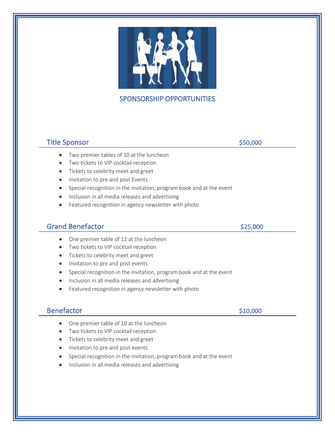

## SPONSORSHIP OPPORTUNITIES

## Title Sponsor **\$50,000**

- Two premier tables of 10 at the luncheon
- Two tickets to VIP cocktail reception
- Tickets to celebrity meet and greet
- Invitation to pre and post Events
- Special recognition in the invitation, program book and at the event
- Inclusion in all media releases and advertising
- Featured recognition in agency newsletter with photo

### Grand Benefactor \$25,000

- One premier table of 12 at the luncheon
- Two tickets to VIP cocktail reception
- Tickets to celebrity meet and greet
- Invitation to pre and post events
- Special recognition in the invitation, program book and at the event
- Inclusion in all media releases and advertising
- Featured recognition in agency newsletter with photo

#### Benefactor \$10,000

- One premier table of 10 at the luncheon
- Two tickets to VIP cocktail reception
- Tickets to celebrity meet and greet
- Invitation to pre and post events
- Special recognition in the invitation, program book and at the event
- Inclusion in all media releases and advertising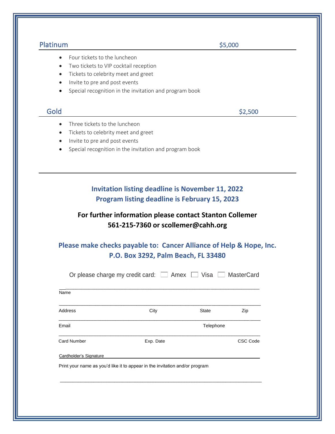| Platinum                                   |                                                                                                                 | \$5,000                 |                   |  |  |  |
|--------------------------------------------|-----------------------------------------------------------------------------------------------------------------|-------------------------|-------------------|--|--|--|
| Four tickets to the luncheon<br>$\bullet$  |                                                                                                                 |                         |                   |  |  |  |
| $\bullet$                                  | Two tickets to VIP cocktail reception                                                                           |                         |                   |  |  |  |
| $\bullet$                                  | Tickets to celebrity meet and greet                                                                             |                         |                   |  |  |  |
| Invite to pre and post events<br>$\bullet$ |                                                                                                                 |                         |                   |  |  |  |
| $\bullet$                                  | Special recognition in the invitation and program book                                                          |                         |                   |  |  |  |
| Gold                                       |                                                                                                                 |                         | \$2,500           |  |  |  |
| Three tickets to the luncheon<br>$\bullet$ |                                                                                                                 |                         |                   |  |  |  |
| $\bullet$                                  | Tickets to celebrity meet and greet                                                                             |                         |                   |  |  |  |
| Invite to pre and post events<br>$\bullet$ |                                                                                                                 |                         |                   |  |  |  |
| $\bullet$                                  | Special recognition in the invitation and program book                                                          |                         |                   |  |  |  |
|                                            |                                                                                                                 |                         |                   |  |  |  |
|                                            | <b>Invitation listing deadline is November 11, 2022</b><br><b>Program listing deadline is February 15, 2023</b> |                         |                   |  |  |  |
|                                            | For further information please contact Stanton Collemer<br>561-215-7360 or scollemer@cahh.org                   |                         |                   |  |  |  |
|                                            | Please make checks payable to: Cancer Alliance of Help & Hope, Inc.                                             |                         |                   |  |  |  |
|                                            | P.O. Box 3292, Palm Beach, FL 33480                                                                             |                         |                   |  |  |  |
|                                            | Or please charge my credit card: $\square$                                                                      | $\Box$ Visa [<br>Amex [ | <b>MasterCard</b> |  |  |  |
| Name                                       |                                                                                                                 |                         |                   |  |  |  |
| Address                                    | City                                                                                                            | State                   | Zip               |  |  |  |
| Email                                      |                                                                                                                 | Telephone               |                   |  |  |  |
| <b>Card Number</b>                         | Exp. Date                                                                                                       |                         | <b>CSC Code</b>   |  |  |  |
| Cardholder's Signature                     |                                                                                                                 |                         |                   |  |  |  |
|                                            | Print your name as you'd like it to appear in the invitation and/or program                                     |                         |                   |  |  |  |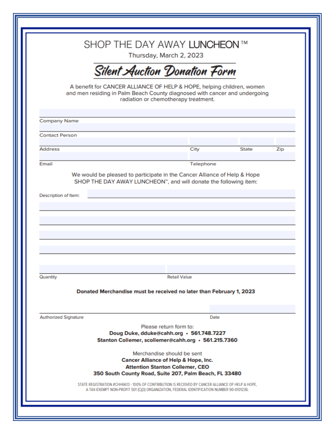|                                  | SHOP THE DAY AWAY LUNCHEON™<br>Thursday, March 2, 2023                                                                                                                                      |     |
|----------------------------------|---------------------------------------------------------------------------------------------------------------------------------------------------------------------------------------------|-----|
|                                  | Silent Auction Donation Form                                                                                                                                                                |     |
|                                  | A benefit for CANCER ALLIANCE OF HELP & HOPE, helping children, women<br>and men residing in Palm Beach County diagnosed with cancer and undergoing<br>radiation or chemotherapy treatment. |     |
| <b>Company Name</b>              |                                                                                                                                                                                             |     |
| <b>Contact Person</b>            |                                                                                                                                                                                             |     |
| <b>Address</b>                   | City<br><b>State</b>                                                                                                                                                                        | Zip |
| Email                            | Telephone                                                                                                                                                                                   |     |
|                                  |                                                                                                                                                                                             |     |
|                                  |                                                                                                                                                                                             |     |
|                                  | <b>Retail Value</b>                                                                                                                                                                         |     |
| Description of Item:<br>Quantity | Donated Merchandise must be received no later than February 1, 2023                                                                                                                         |     |
| <b>Authorized Signature</b>      | Date                                                                                                                                                                                        |     |
|                                  | Please return form to:<br>Doug Duke, dduke@cahh.org · 561.748.7227                                                                                                                          |     |
|                                  | Stanton Collemer, scollemer@cahh.org · 561.215.7360                                                                                                                                         |     |
|                                  | Merchandise should be sent                                                                                                                                                                  |     |
|                                  | <b>Cancer Alliance of Help &amp; Hope, Inc.</b>                                                                                                                                             |     |
|                                  | <b>Attention Stanton Collemer, CEO</b><br>350 South County Road, Suite 207, Palm Beach, FL 33480                                                                                            |     |